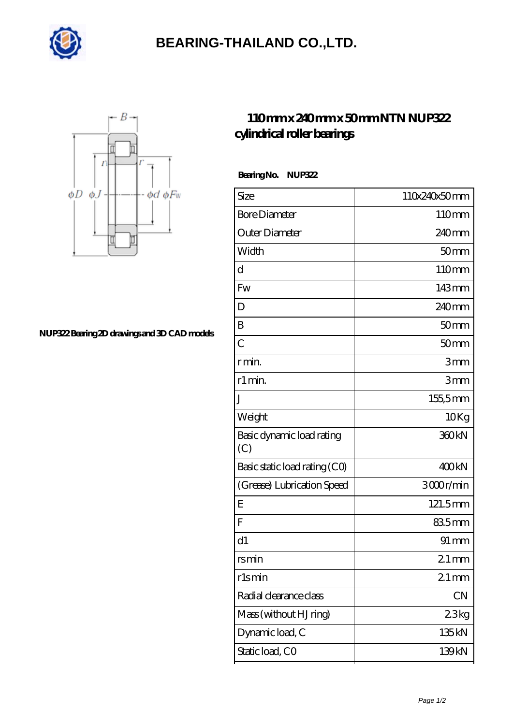

## **[BEARING-THAILAND CO.,LTD.](https://goldengatetunnel.com)**



## **[NUP322 Bearing 2D drawings and 3D CAD models](https://goldengatetunnel.com/pic-388250.html)**

## **[110 mm x 240 mm x 50 mm NTN NUP322](https://goldengatetunnel.com/az-388250-ntn-nup322-cylindrical-roller-bearings.html) [cylindrical roller bearings](https://goldengatetunnel.com/az-388250-ntn-nup322-cylindrical-roller-bearings.html)**

 **Bearing No. NUP322**

| Size                             | 110x240x50mm       |
|----------------------------------|--------------------|
| <b>Bore Diameter</b>             | 110mm              |
| Outer Diameter                   | 240 <sub>mm</sub>  |
| Width                            | 50 <sub>mm</sub>   |
| d                                | 110mm              |
| Fw                               | 143mm              |
| D                                | 240 <sub>mm</sub>  |
| B                                | 50 <sub>mm</sub>   |
| $\overline{C}$                   | 50 <sub>mm</sub>   |
| r min.                           | 3mm                |
| r1 min.                          | 3mm                |
| J                                | 155,5mm            |
| Weight                           | 10Kg               |
| Basic dynamic load rating<br>(C) | 360 <sub>kN</sub>  |
| Basic static load rating (CO)    | 400kN              |
| (Grease) Lubrication Speed       | 3000r/min          |
| Ε                                | 121.5mm            |
| F                                | 835mm              |
| d1                               | $91 \,\mathrm{mm}$ |
| rs min                           | $21 \,\mathrm{mm}$ |
| rlsmin                           | $21 \,\mathrm{mm}$ |
| Radial clearance class           | CN                 |
| Mass (without HJ ring)           | 23kg               |
| Dynamic load, C                  | 135kN              |
| Static load, CO                  | 139kN              |
|                                  |                    |